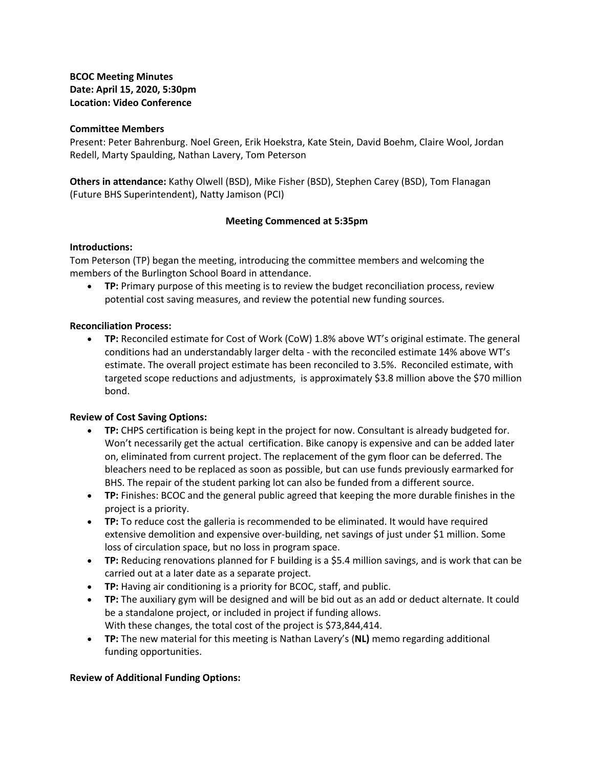**BCOC Meeting Minutes Date: April 15, 2020, 5:30pm Location: Video Conference**

#### **Committee Members**

Present: Peter Bahrenburg. Noel Green, Erik Hoekstra, Kate Stein, David Boehm, Claire Wool, Jordan Redell, Marty Spaulding, Nathan Lavery, Tom Peterson

**Others in attendance:** Kathy Olwell (BSD), Mike Fisher (BSD), Stephen Carey (BSD), Tom Flanagan (Future BHS Superintendent), Natty Jamison (PCI)

## **Meeting Commenced at 5:35pm**

### **Introductions:**

Tom Peterson (TP) began the meeting, introducing the committee members and welcoming the members of the Burlington School Board in attendance.

• **TP:** Primary purpose of this meeting is to review the budget reconciliation process, review potential cost saving measures, and review the potential new funding sources.

### **Reconciliation Process:**

• **TP:** Reconciled estimate for Cost of Work (CoW) 1.8% above WT's original estimate. The general conditions had an understandably larger delta - with the reconciled estimate 14% above WT's estimate. The overall project estimate has been reconciled to 3.5%. Reconciled estimate, with targeted scope reductions and adjustments, is approximately \$3.8 million above the \$70 million bond.

## **Review of Cost Saving Options:**

- **TP:** CHPS certification is being kept in the project for now. Consultant is already budgeted for. Won't necessarily get the actual certification. Bike canopy is expensive and can be added later on, eliminated from current project. The replacement of the gym floor can be deferred. The bleachers need to be replaced as soon as possible, but can use funds previously earmarked for BHS. The repair of the student parking lot can also be funded from a different source.
- **TP:** Finishes: BCOC and the general public agreed that keeping the more durable finishes in the project is a priority.
- **TP:** To reduce cost the galleria is recommended to be eliminated. It would have required extensive demolition and expensive over-building, net savings of just under \$1 million. Some loss of circulation space, but no loss in program space.
- **TP:** Reducing renovations planned for F building is a \$5.4 million savings, and is work that can be carried out at a later date as a separate project.
- **TP:** Having air conditioning is a priority for BCOC, staff, and public.
- **TP:** The auxiliary gym will be designed and will be bid out as an add or deduct alternate. It could be a standalone project, or included in project if funding allows. With these changes, the total cost of the project is \$73,844,414.
- **TP:** The new material for this meeting is Nathan Lavery's (**NL)** memo regarding additional funding opportunities.

## **Review of Additional Funding Options:**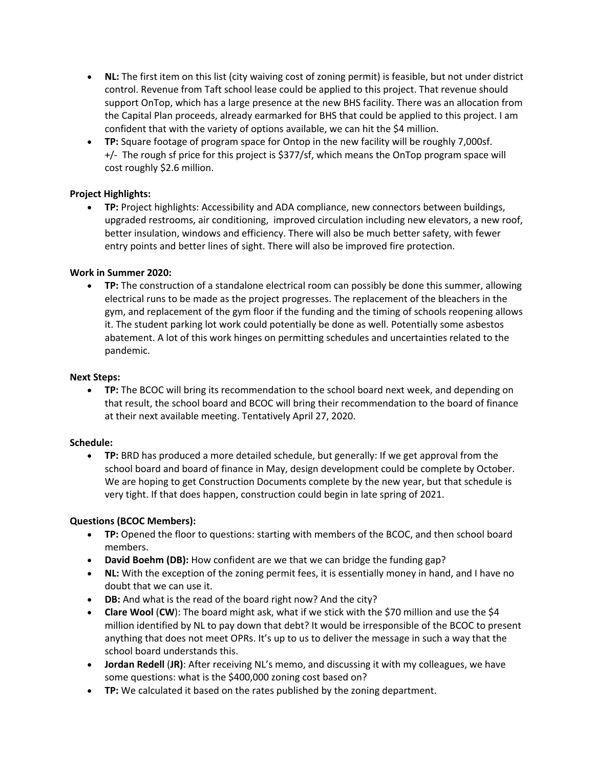- **NL:** The first item on this list (city waiving cost of zoning permit) is feasible, but not under district control. Revenue from Taft school lease could be applied to this project. That revenue should support OnTop, which has a large presence at the new BHS facility. There was an allocation from the Capital Plan proceeds, already earmarked for BHS that could be applied to this project. I am confident that with the variety of options available, we can hit the \$4 million.
- **TP:** Square footage of program space for Ontop in the new facility will be roughly 7,000sf. +/- The rough sf price for this project is \$377/sf, which means the OnTop program space will cost roughly \$2.6 million.

## **Project Highlights:**

• **TP:** Project highlights: Accessibility and ADA compliance, new connectors between buildings, upgraded restrooms, air conditioning, improved circulation including new elevators, a new roof, better insulation, windows and efficiency. There will also be much better safety, with fewer entry points and better lines of sight. There will also be improved fire protection.

## **Work in Summer 2020:**

• **TP:** The construction of a standalone electrical room can possibly be done this summer, allowing electrical runs to be made as the project progresses. The replacement of the bleachers in the gym, and replacement of the gym floor if the funding and the timing of schools reopening allows it. The student parking lot work could potentially be done as well. Potentially some asbestos abatement. A lot of this work hinges on permitting schedules and uncertainties related to the pandemic.

## **Next Steps:**

• **TP:** The BCOC will bring its recommendation to the school board next week, and depending on that result, the school board and BCOC will bring their recommendation to the board of finance at their next available meeting. Tentatively April 27, 2020.

## **Schedule:**

• **TP:** BRD has produced a more detailed schedule, but generally: If we get approval from the school board and board of finance in May, design development could be complete by October. We are hoping to get Construction Documents complete by the new year, but that schedule is very tight. If that does happen, construction could begin in late spring of 2021.

# **Questions (BCOC Members):**

- **TP:** Opened the floor to questions: starting with members of the BCOC, and then school board members.
- **David Boehm (DB):** How confident are we that we can bridge the funding gap?
- **NL:** With the exception of the zoning permit fees, it is essentially money in hand, and I have no doubt that we can use it.
- **DB:** And what is the read of the board right now? And the city?
- **Clare Wool** (**CW**): The board might ask, what if we stick with the \$70 million and use the \$4 million identified by NL to pay down that debt? It would be irresponsible of the BCOC to present anything that does not meet OPRs. It's up to us to deliver the message in such a way that the school board understands this.
- **Jordan Redell** (**JR)**: After receiving NL's memo, and discussing it with my colleagues, we have some questions: what is the \$400,000 zoning cost based on?
- **TP:** We calculated it based on the rates published by the zoning department.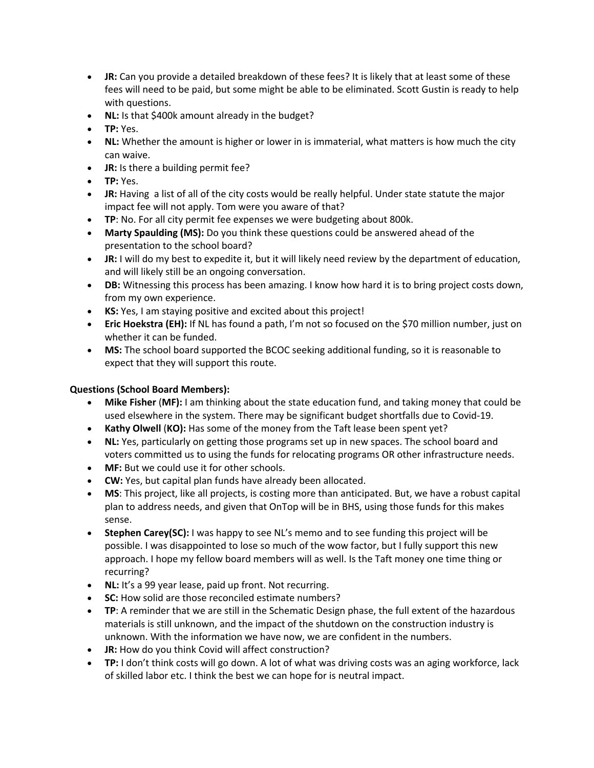- **JR:** Can you provide a detailed breakdown of these fees? It is likely that at least some of these fees will need to be paid, but some might be able to be eliminated. Scott Gustin is ready to help with questions.
- **NL:** Is that \$400k amount already in the budget?
- **TP:** Yes.
- **NL:** Whether the amount is higher or lower in is immaterial, what matters is how much the city can waive.
- **JR:** Is there a building permit fee?
- **TP:** Yes.
- **JR:** Having a list of all of the city costs would be really helpful. Under state statute the major impact fee will not apply. Tom were you aware of that?
- **TP**: No. For all city permit fee expenses we were budgeting about 800k.
- **Marty Spaulding (MS):** Do you think these questions could be answered ahead of the presentation to the school board?
- **JR:** I will do my best to expedite it, but it will likely need review by the department of education, and will likely still be an ongoing conversation.
- **DB:** Witnessing this process has been amazing. I know how hard it is to bring project costs down, from my own experience.
- **KS:** Yes, I am staying positive and excited about this project!
- **Eric Hoekstra (EH):** If NL has found a path, I'm not so focused on the \$70 million number, just on whether it can be funded.
- **MS:** The school board supported the BCOC seeking additional funding, so it is reasonable to expect that they will support this route.

# **Questions (School Board Members):**

- **Mike Fisher** (**MF):** I am thinking about the state education fund, and taking money that could be used elsewhere in the system. There may be significant budget shortfalls due to Covid-19.
- **Kathy Olwell** (**KO):** Has some of the money from the Taft lease been spent yet?
- **NL:** Yes, particularly on getting those programs set up in new spaces. The school board and voters committed us to using the funds for relocating programs OR other infrastructure needs.
- **MF:** But we could use it for other schools.
- **CW:** Yes, but capital plan funds have already been allocated.
- **MS**: This project, like all projects, is costing more than anticipated. But, we have a robust capital plan to address needs, and given that OnTop will be in BHS, using those funds for this makes sense.
- **Stephen Carey(SC):** I was happy to see NL's memo and to see funding this project will be possible. I was disappointed to lose so much of the wow factor, but I fully support this new approach. I hope my fellow board members will as well. Is the Taft money one time thing or recurring?
- **NL:** It's a 99 year lease, paid up front. Not recurring.
- **SC:** How solid are those reconciled estimate numbers?
- **TP**: A reminder that we are still in the Schematic Design phase, the full extent of the hazardous materials is still unknown, and the impact of the shutdown on the construction industry is unknown. With the information we have now, we are confident in the numbers.
- **JR:** How do you think Covid will affect construction?
- **TP:** I don't think costs will go down. A lot of what was driving costs was an aging workforce, lack of skilled labor etc. I think the best we can hope for is neutral impact.